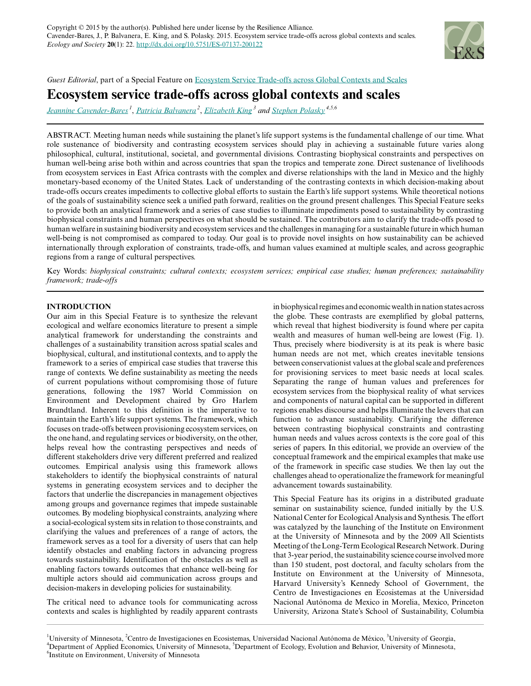

*Guest Editorial*, part of a Special Feature on [Ecosystem Service Trade-offs across Global Contexts and Scales](http://www.ecologyandsociety.org/viewissue.php?sf=90)

# **Ecosystem service trade-offs across global contexts and scales**

*[Jeannine Cavender-Bares](mailto:cavender@umn.edu)<sup>1</sup>* , *[Patricia Balvanera](mailto:pbalvanera@cieco.unam.mx)<sup>2</sup>* , *[Elizabeth King](mailto:egking@uga.edu)<sup>3</sup> and [Stephen Polasky](mailto:polasky@umn.edu) 4,5,6*

ABSTRACT. Meeting human needs while sustaining the planet's life support systems is the fundamental challenge of our time. What role sustenance of biodiversity and contrasting ecosystem services should play in achieving a sustainable future varies along philosophical, cultural, institutional, societal, and governmental divisions. Contrasting biophysical constraints and perspectives on human well-being arise both within and across countries that span the tropics and temperate zone. Direct sustenance of livelihoods from ecosystem services in East Africa contrasts with the complex and diverse relationships with the land in Mexico and the highly monetary-based economy of the United States. Lack of understanding of the contrasting contexts in which decision-making about trade-offs occurs creates impediments to collective global efforts to sustain the Earth's life support systems. While theoretical notions of the goals of sustainability science seek a unified path forward, realities on the ground present challenges. This Special Feature seeks to provide both an analytical framework and a series of case studies to illuminate impediments posed to sustainability by contrasting biophysical constraints and human perspectives on what should be sustained. The contributors aim to clarify the trade-offs posed to human welfare in sustaining biodiversity and ecosystem services and the challenges in managing for a sustainable future in which human well-being is not compromised as compared to today. Our goal is to provide novel insights on how sustainability can be achieved internationally through exploration of constraints, trade-offs, and human values examined at multiple scales, and across geographic regions from a range of cultural perspectives.

Key Words: *biophysical constraints; cultural contexts; ecosystem services; empirical case studies; human preferences; sustainability framework; trade-offs*

# **INTRODUCTION**

Our aim in this Special Feature is to synthesize the relevant ecological and welfare economics literature to present a simple analytical framework for understanding the constraints and challenges of a sustainability transition across spatial scales and biophysical, cultural, and institutional contexts, and to apply the framework to a series of empirical case studies that traverse this range of contexts. We define sustainability as meeting the needs of current populations without compromising those of future generations, following the 1987 World Commission on Environment and Development chaired by Gro Harlem Brundtland. Inherent to this definition is the imperative to maintain the Earth's life support systems. The framework, which focuses on trade-offs between provisioning ecosystem services, on the one hand, and regulating services or biodiversity, on the other, helps reveal how the contrasting perspectives and needs of different stakeholders drive very different preferred and realized outcomes. Empirical analysis using this framework allows stakeholders to identify the biophysical constraints of natural systems in generating ecosystem services and to decipher the factors that underlie the discrepancies in management objectives among groups and governance regimes that impede sustainable outcomes. By modeling biophysical constraints, analyzing where a social-ecological system sits in relation to those constraints, and clarifying the values and preferences of a range of actors, the framework serves as a tool for a diversity of users that can help identify obstacles and enabling factors in advancing progress towards sustainability. Identification of the obstacles as well as enabling factors towards outcomes that enhance well-being for multiple actors should aid communication across groups and decision-makers in developing policies for sustainability.

The critical need to advance tools for communicating across contexts and scales is highlighted by readily apparent contrasts

in biophysical regimes and economic wealth in nation states across the globe. These contrasts are exemplified by global patterns, which reveal that highest biodiversity is found where per capita wealth and measures of human well-being are lowest (Fig. 1). Thus, precisely where biodiversity is at its peak is where basic human needs are not met, which creates inevitable tensions between conservationist values at the global scale and preferences for provisioning services to meet basic needs at local scales. Separating the range of human values and preferences for ecosystem services from the biophysical reality of what services and components of natural capital can be supported in different regions enables discourse and helps illuminate the levers that can function to advance sustainability. Clarifying the difference between contrasting biophysical constraints and contrasting human needs and values across contexts is the core goal of this series of papers. In this editorial, we provide an overview of the conceptual framework and the empirical examples that make use of the framework in specific case studies. We then lay out the challenges ahead to operationalize the framework for meaningful advancement towards sustainability.

This Special Feature has its origins in a distributed graduate seminar on sustainability science, funded initially by the U.S. National Center for Ecological Analysis and Synthesis. The effort was catalyzed by the launching of the Institute on Environment at the University of Minnesota and by the 2009 All Scientists Meeting of the Long-Term Ecological Research Network. During that 3-year period, the sustainability science course involved more than 150 student, post doctoral, and faculty scholars from the Institute on Environment at the University of Minnesota, Harvard University's Kennedy School of Government, the Centro de Investigaciones en Ecosistemas at the Universidad Nacional Autónoma de Mexico in Morelia, Mexico, Princeton University, Arizona State's School of Sustainability, Columbia

<sup>&</sup>lt;sup>1</sup>University of Minnesota, <sup>2</sup>Centro de Investigaciones en Ecosistemas, Universidad Nacional Autónoma de México, <sup>3</sup>University of Georgia, <sup>4</sup>Department of Applied Economics, University of Minnesota, <sup>5</sup>Department of Ecology, Evolution and Behavior, University of Minnesota, 6 Institute on Environment, University of Minnesota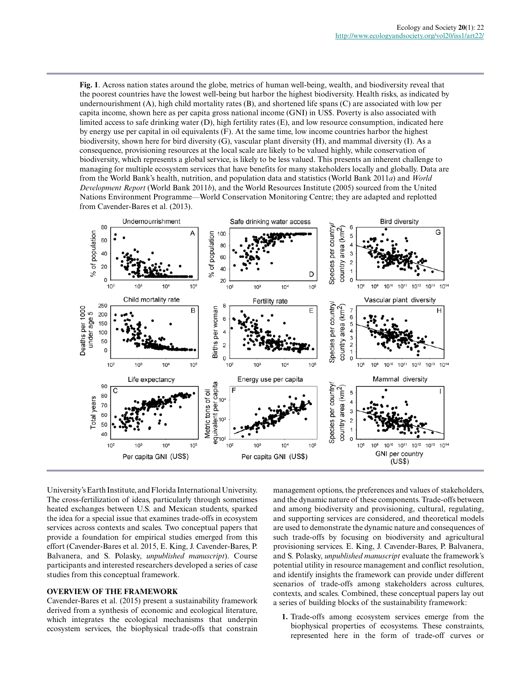**Fig. 1**. Across nation states around the globe, metrics of human well-being, wealth, and biodiversity reveal that the poorest countries have the lowest well-being but harbor the highest biodiversity. Health risks, as indicated by undernourishment (A), high child mortality rates (B), and shortened life spans (C) are associated with low per capita income, shown here as per capita gross national income (GNI) in US\$. Poverty is also associated with limited access to safe drinking water (D), high fertility rates (E), and low resource consumption, indicated here by energy use per capital in oil equivalents (F). At the same time, low income countries harbor the highest biodiversity, shown here for bird diversity (G), vascular plant diversity (H), and mammal diversity (I). As a consequence, provisioning resources at the local scale are likely to be valued highly, while conservation of biodiversity, which represents a global service, is likely to be less valued. This presents an inherent challenge to managing for multiple ecosystem services that have benefits for many stakeholders locally and globally. Data are from the World Bank's health, nutrition, and population data and statistics (World Bank 2011*a*) and *World Development Report* (World Bank 2011*b*), and the World Resources Institute (2005) sourced from the United Nations Environment Programme—World Conservation Monitoring Centre; they are adapted and replotted from Cavender-Bares et al. (2013).



University's Earth Institute, and Florida International University. The cross-fertilization of ideas, particularly through sometimes heated exchanges between U.S. and Mexican students, sparked the idea for a special issue that examines trade-offs in ecosystem services across contexts and scales. Two conceptual papers that provide a foundation for empirical studies emerged from this effort (Cavender-Bares et al. 2015, E. King, J. Cavender-Bares, P. Balvanera, and S. Polasky, *unpublished manuscript*). Course participants and interested researchers developed a series of case studies from this conceptual framework.

### **OVERVIEW OF THE FRAMEWORK**

Cavender-Bares et al. (2015) present a sustainability framework derived from a synthesis of economic and ecological literature, which integrates the ecological mechanisms that underpin ecosystem services, the biophysical trade-offs that constrain management options, the preferences and values of stakeholders, and the dynamic nature of these components. Trade-offs between and among biodiversity and provisioning, cultural, regulating, and supporting services are considered, and theoretical models are used to demonstrate the dynamic nature and consequences of such trade-offs by focusing on biodiversity and agricultural provisioning services. E. King, J. Cavender-Bares, P. Balvanera, and S. Polasky, *unpublished manuscript* evaluate the framework's potential utility in resource management and conflict resolution, and identify insights the framework can provide under different scenarios of trade-offs among stakeholders across cultures, contexts, and scales. Combined, these conceptual papers lay out a series of building blocks of the sustainability framework:

**1.** Trade-offs among ecosystem services emerge from the biophysical properties of ecosystems. These constraints, represented here in the form of trade-off curves or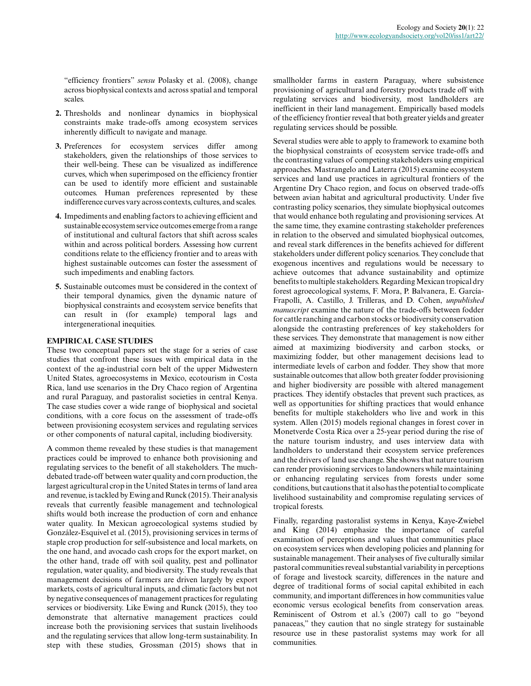"efficiency frontiers" *sensu* Polasky et al. (2008), change across biophysical contexts and across spatial and temporal scales.

- **2.** Thresholds and nonlinear dynamics in biophysical constraints make trade-offs among ecosystem services inherently difficult to navigate and manage.
- **3.** Preferences for ecosystem services differ among stakeholders, given the relationships of those services to their well-being. These can be visualized as indifference curves, which when superimposed on the efficiency frontier can be used to identify more efficient and sustainable outcomes. Human preferences represented by these indifference curves vary across contexts, cultures, and scales.
- **4.** Impediments and enabling factors to achieving efficient and sustainable ecosystem service outcomes emerge from a range of institutional and cultural factors that shift across scales within and across political borders. Assessing how current conditions relate to the efficiency frontier and to areas with highest sustainable outcomes can foster the assessment of such impediments and enabling factors.
- **5.** Sustainable outcomes must be considered in the context of their temporal dynamics, given the dynamic nature of biophysical constraints and ecosystem service benefits that can result in (for example) temporal lags and intergenerational inequities.

## **EMPIRICAL CASE STUDIES**

These two conceptual papers set the stage for a series of case studies that confront these issues with empirical data in the context of the ag-industrial corn belt of the upper Midwestern United States, agroecosystems in Mexico, ecotourism in Costa Rica, land use scenarios in the Dry Chaco region of Argentina and rural Paraguay, and pastoralist societies in central Kenya. The case studies cover a wide range of biophysical and societal conditions, with a core focus on the assessment of trade-offs between provisioning ecosystem services and regulating services or other components of natural capital, including biodiversity.

A common theme revealed by these studies is that management practices could be improved to enhance both provisioning and regulating services to the benefit of all stakeholders. The muchdebated trade-off between water quality and corn production, the largest agricultural crop in the United States in terms of land area and revenue, is tackled by Ewing and Runck (2015). Their analysis reveals that currently feasible management and technological shifts would both increase the production of corn and enhance water quality. In Mexican agroecological systems studied by González-Esquivel et al. (2015), provisioning services in terms of staple crop production for self-subsistence and local markets, on the one hand, and avocado cash crops for the export market, on the other hand, trade off with soil quality, pest and pollinator regulation, water quality, and biodiversity. The study reveals that management decisions of farmers are driven largely by export markets, costs of agricultural inputs, and climatic factors but not by negative consequences of management practices for regulating services or biodiversity. Like Ewing and Runck (2015), they too demonstrate that alternative management practices could increase both the provisioning services that sustain livelihoods and the regulating services that allow long-term sustainability. In step with these studies, Grossman (2015) shows that in

smallholder farms in eastern Paraguay, where subsistence provisioning of agricultural and forestry products trade off with regulating services and biodiversity, most landholders are inefficient in their land management. Empirically based models of the efficiency frontier reveal that both greater yields and greater regulating services should be possible.

Several studies were able to apply to framework to examine both the biophysical constraints of ecosystem service trade-offs and the contrasting values of competing stakeholders using empirical approaches. Mastrangelo and Laterra (2015) examine ecosystem services and land use practices in agricultural frontiers of the Argentine Dry Chaco region, and focus on observed trade-offs between avian habitat and agricultural productivity. Under five contrasting policy scenarios, they simulate biophysical outcomes that would enhance both regulating and provisioning services. At the same time, they examine contrasting stakeholder preferences in relation to the observed and simulated biophysical outcomes, and reveal stark differences in the benefits achieved for different stakeholders under different policy scenarios. They conclude that exogenous incentives and regulations would be necessary to achieve outcomes that advance sustainability and optimize benefits to multiple stakeholders. Regarding Mexican tropical dry forest agroecological systems, F. Mora, P. Balvanera, E. García-Frapolli, A. Castillo, J. Trilleras, and D. Cohen, *unpublished manuscript* examine the nature of the trade-offs between fodder for cattle ranching and carbon stocks or biodiversity conservation alongside the contrasting preferences of key stakeholders for these services. They demonstrate that management is now either aimed at maximizing biodiversity and carbon stocks, or maximizing fodder, but other management decisions lead to intermediate levels of carbon and fodder. They show that more sustainable outcomes that allow both greater fodder provisioning and higher biodiversity are possible with altered management practices. They identify obstacles that prevent such practices, as well as opportunities for shifting practices that would enhance benefits for multiple stakeholders who live and work in this system. Allen (2015) models regional changes in forest cover in Monetverde Costa Rica over a 25-year period during the rise of the nature tourism industry, and uses interview data with landholders to understand their ecosystem service preferences and the drivers of land use change. She shows that nature tourism can render provisioning services to landowners while maintaining or enhancing regulating services from forests under some conditions, but cautions that it also has the potential to complicate livelihood sustainability and compromise regulating services of tropical forests.

Finally, regarding pastoralist systems in Kenya, Kaye-Zwiebel and King (2014) emphasize the importance of careful examination of perceptions and values that communities place on ecosystem services when developing policies and planning for sustainable management. Their analyses of five culturally similar pastoral communities reveal substantial variability in perceptions of forage and livestock scarcity, differences in the nature and degree of traditional forms of social capital exhibited in each community, and important differences in how communities value economic versus ecological benefits from conservation areas. Reminiscent of Ostrom et al.'s (2007) call to go "beyond panaceas," they caution that no single strategy for sustainable resource use in these pastoralist systems may work for all communities.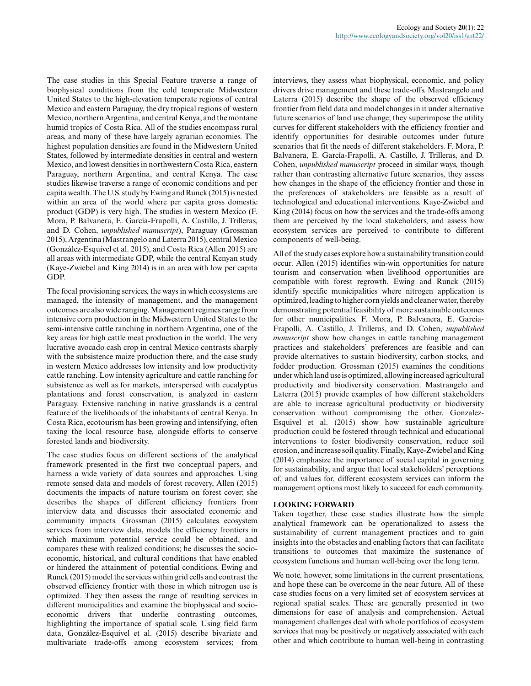The case studies in this Special Feature traverse a range of biophysical conditions from the cold temperate Midwestern United States to the high-elevation temperate regions of central Mexico and eastern Paraguay, the dry tropical regions of western Mexico, northern Argentina, and central Kenya, and the montane humid tropics of Costa Rica. All of the studies encompass rural areas, and many of these have largely agrarian economies. The highest population densities are found in the Midwestern United States, followed by intermediate densities in central and western Mexico, and lowest densities in northwestern Costa Rica, eastern Paraguay, northern Argentina, and central Kenya. The case studies likewise traverse a range of economic conditions and per capita wealth. The U.S. study by Ewing and Runck (2015) is nested within an area of the world where per capita gross domestic product (GDP) is very high. The studies in western Mexico (F. Mora, P. Balvanera, E. García-Frapolli, A. Castillo, J. Trilleras, and D. Cohen, *unpublished manuscript*), Paraguay (Grossman 2015), Argentina (Mastrangelo and Laterra 2015), central Mexico (González-Esquivel et al. 2015), and Costa Rica (Allen 2015) are all areas with intermediate GDP, while the central Kenyan study (Kaye-Zwiebel and King 2014) is in an area with low per capita GDP.

The focal provisioning services, the ways in which ecosystems are managed, the intensity of management, and the management outcomes are also wide ranging. Management regimes range from intensive corn production in the Midwestern United States to the semi-intensive cattle ranching in northern Argentina, one of the key areas for high cattle meat production in the world. The very lucrative avocado cash crop in central Mexico contrasts sharply with the subsistence maize production there, and the case study in western Mexico addresses low intensity and low productivity cattle ranching. Low intensity agriculture and cattle ranching for subsistence as well as for markets, interspersed with eucalyptus plantations and forest conservation, is analyzed in eastern Paraguay. Extensive ranching in native grasslands is a central feature of the livelihoods of the inhabitants of central Kenya. In Costa Rica, ecotourism has been growing and intensifying, often taxing the local resource base, alongside efforts to conserve forested lands and biodiversity.

The case studies focus on different sections of the analytical framework presented in the first two conceptual papers, and harness a wide variety of data sources and approaches. Using remote sensed data and models of forest recovery, Allen (2015) documents the impacts of nature tourism on forest cover; she describes the shapes of different efficiency frontiers from interview data and discusses their associated economic and community impacts. Grossman (2015) calculates ecosystem services from interview data, models the efficiency frontiers in which maximum potential service could be obtained, and compares these with realized conditions; he discusses the socioeconomic, historical, and cultural conditions that have enabled or hindered the attainment of potential conditions. Ewing and Runck (2015) model the services within grid cells and contrast the observed efficiency frontier with those in which nitrogen use is optimized. They then assess the range of resulting services in different municipalities and examine the biophysical and socioeconomic drivers that underlie contrasting outcomes, highlighting the importance of spatial scale. Using field farm data, González-Esquivel et al. (2015) describe bivariate and multivariate trade-offs among ecosystem services; from

interviews, they assess what biophysical, economic, and policy drivers drive management and these trade-offs. Mastrangelo and Laterra (2015) describe the shape of the observed efficiency frontier from field data and model changes in it under alternative future scenarios of land use change; they superimpose the utility curves for different stakeholders with the efficiency frontier and identify opportunities for desirable outcomes under future scenarios that fit the needs of different stakeholders. F. Mora, P. Balvanera, E. García-Frapolli, A. Castillo, J. Trilleras, and D. Cohen, *unpublished manuscript* proceed in similar ways, though rather than contrasting alternative future scenarios, they assess how changes in the shape of the efficiency frontier and those in the preferences of stakeholders are feasible as a result of technological and educational interventions. Kaye-Zwiebel and King (2014) focus on how the services and the trade-offs among them are perceived by the local stakeholders, and assess how ecosystem services are perceived to contribute to different components of well-being.

All of the study cases explore how a sustainability transition could occur. Allen (2015) identifies win-win opportunities for nature tourism and conservation when livelihood opportunities are compatible with forest regrowth. Ewing and Runck (2015) identify specific municipalities where nitrogen application is optimized, leading to higher corn yields and cleaner water, thereby demonstrating potential feasibility of more sustainable outcomes for other municipalities. F. Mora, P. Balvanera, E. García-Frapolli, A. Castillo, J. Trilleras, and D. Cohen, *unpublished manuscript* show how changes in cattle ranching management practices and stakeholders' preferences are feasible and can provide alternatives to sustain biodiversity, carbon stocks, and fodder production. Grossman (2015) examines the conditions under which land use is optimized, allowing increased agricultural productivity and biodiversity conservation. Mastrangelo and Laterra (2015) provide examples of how different stakeholders are able to increase agricultural productivity or biodiversity conservation without compromising the other. Gonzalez-Esquivel et al. (2015) show how sustainable agriculture production could be fostered through technical and educational interventions to foster biodiversity conservation, reduce soil erosion, and increase soil quality. Finally, Kaye-Zwiebel and King (2014) emphasize the importance of social capital in governing for sustainability, and argue that local stakeholders' perceptions of, and values for, different ecosystem services can inform the management options most likely to succeed for each community.

#### **LOOKING FORWARD**

Taken together, these case studies illustrate how the simple analytical framework can be operationalized to assess the sustainability of current management practices and to gain insights into the obstacles and enabling factors that can facilitate transitions to outcomes that maximize the sustenance of ecosystem functions and human well-being over the long term.

We note, however, some limitations in the current presentations, and hope these can be overcome in the near future. All of these case studies focus on a very limited set of ecosystem services at regional spatial scales. These are generally presented in two dimensions for ease of analysis and comprehension. Actual management challenges deal with whole portfolios of ecosystem services that may be positively or negatively associated with each other and which contribute to human well-being in contrasting